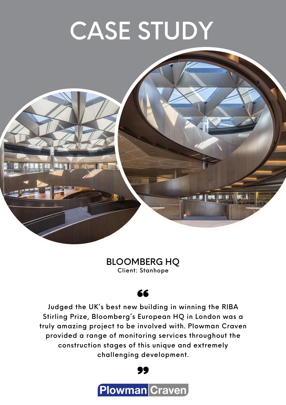# CASE STUDY



#### BLOOMBERG HQ Client: Stanhope

#### 66

Judged the UK's best new building in winning the RIBA Stirling Prize, Bloomberg's European HQ in London was a truly amazing project to be involved with. Plowman Craven provided a range of monitoring services throughout the construction stages of this unique and extremely challenging development.

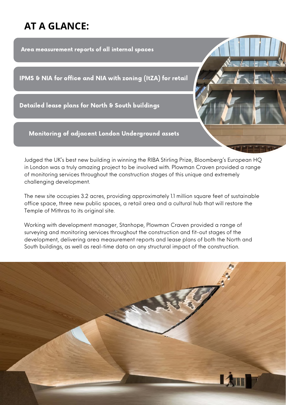### **AT A GLANCE:**

Area measurement reports of all internal spaces

IPMS & NIA for office and NIA with zoning (ItZA) for retail

Detailed lease plans for North & South buildings

Monitoring of adjacent London Underground assets

Judged the UK's best new building in winning the RIBA Stirling Prize, Bloomberg's European HQ in London was a truly amazing project to be involved with. Plowman Craven provided a range of monitoring services throughout the construction stages of this unique and extremely challenging development.

The new site occupies 3.2 acres, providing approximately 1.1 million square feet of sustainable office space, three new public spaces, a retail area and a cultural hub that will restore the Temple of Mithras to its original site.

Working with development manager, Stanhope, Plowman Craven provided a range of surveying and monitoring services throughout the construction and fit-out stages of the development, delivering area measurement reports and lease plans of both the North and South buildings, as well as real-time data on any structural impact of the construction.

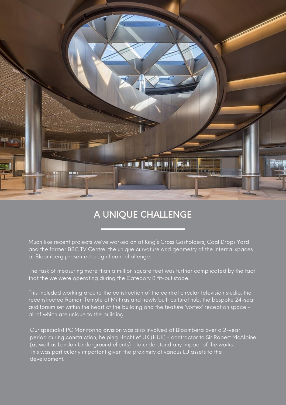

#### A UNIQUE CHALLENGE

Much like recent projects we've worked on at King's Cross Gasholders, Coal Drops Yard and the former BBC TV Centre, the unique curvature and geometry of the internal spaces at Bloomberg presented a significant challenge.

The task of measuring more than a million square feet was further complicated by the fact that the we were operating during the Category B fit-out stage.

This included working around the construction of the central circular television studio, the reconstructed Roman Temple of Mithras and newly built cultural hub, the bespoke 24-seat auditorium set within the heart of the building and the feature 'vortex' reception space all of which are unique to the building.

Our specialist PC Monitoring division was also involved at Bloomberg over a 2-year period during construction, helping Hochtief UK (HUK) - contractor to Sir Robert McAlpine (as well as London Underground clients) - to understand any impact of the works. This was particularly important given the proximity of various LU assets to the development.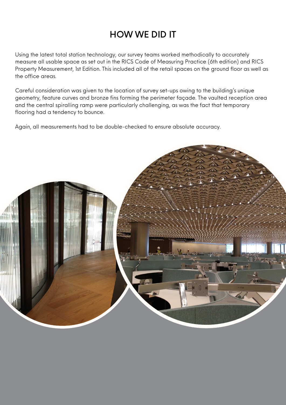### HOW WE DID IT

Using the latest total station technology, our survey teams worked methodically to accurately measure all usable space as set out in the RICS Code of Measuring Practice (6th edition) and RICS Property Measurement, 1st Edition. This included all of the retail spaces on the ground floor as well as the office areas.

Careful consideration was given to the location of survey set-ups owing to the building's unique geometry, feature curves and bronze fins forming the perimeter façade. The vaulted reception area and the central spiralling ramp were particularly challenging, as was the fact that temporary flooring had a tendency to bounce.

Again, all measurements had to be double-checked to ensure absolute accuracy.